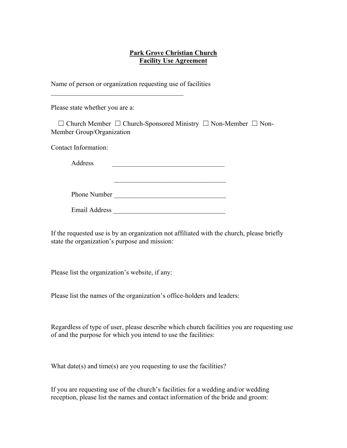## **Park Grove Christian Church Facility Use Agreement**

Name of person or organization requesting use of facilities

\_\_\_\_\_\_\_\_\_\_\_\_\_\_\_\_\_\_\_\_\_\_\_\_\_\_\_\_\_\_\_\_\_\_\_\_\_\_\_

Please state whether you are a:

 ☐ Church Member ☐ Church-Sponsored Ministry ☐ Non-Member ☐ Non-Member Group/Organization

 $\mathcal{L}_\text{max} = \frac{1}{2} \sum_{i=1}^{n} \frac{1}{2} \sum_{i=1}^{n} \frac{1}{2} \sum_{i=1}^{n} \frac{1}{2} \sum_{i=1}^{n} \frac{1}{2} \sum_{i=1}^{n} \frac{1}{2} \sum_{i=1}^{n} \frac{1}{2} \sum_{i=1}^{n} \frac{1}{2} \sum_{i=1}^{n} \frac{1}{2} \sum_{i=1}^{n} \frac{1}{2} \sum_{i=1}^{n} \frac{1}{2} \sum_{i=1}^{n} \frac{1}{2} \sum_{i=1}^{n} \frac{1$ 

Contact Information:

Address **and a set of the set of the set of the set of the set of the set of the set of the set of the set of the set of the set of the set of the set of the set of the set of the set of the set of the set of the set of th** 

Phone Number

Email Address \_\_\_\_\_\_\_\_\_\_\_\_\_\_\_\_\_\_\_\_\_\_\_\_\_\_\_\_\_\_\_\_\_

If the requested use is by an organization not affiliated with the church, please briefly state the organization's purpose and mission:

Please list the organization's website, if any:

Please list the names of the organization's office-holders and leaders:

Regardless of type of user, please describe which church facilities you are requesting use of and the purpose for which you intend to use the facilities:

What date(s) and time(s) are you requesting to use the facilities?

If you are requesting use of the church's facilities for a wedding and/or wedding reception, please list the names and contact information of the bride and groom: